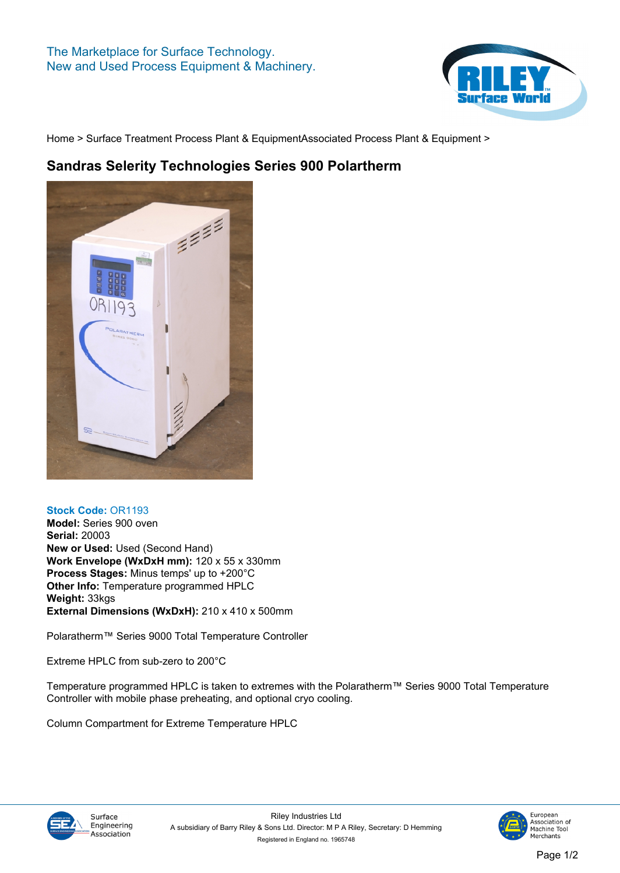

**[Home](https://www.rileysurfaceworld.co.uk) > [Surface Treatment Process Plant & Equipment](https://www.rileysurfaceworld.co.uk/surface_treatments.asp)[Associated Process Plant & Equipment](https://www.rileysurfaceworld.co.uk/surface-treatment-associated.asp) >**

## **Sandras Selerity Technologies Series 900 Polartherm**



## **Stock Code: OR1193**

**Model: Series 900 oven Serial: 20003 New or Used: Used (Second Hand) Work Envelope (WxDxH mm): 120 x 55 x 330mm Process Stages: Minus temps' up to +200°C Other Info: Temperature programmed HPLC Weight: 33kgs External Dimensions (WxDxH): 210 x 410 x 500mm**

**Polaratherm™ Series 9000 Total Temperature Controller**

**Extreme HPLC from sub-zero to 200°C**

**Temperature programmed HPLC is taken to extremes with the Polaratherm™ Series 9000 Total Temperature Controller with mobile phase preheating, and optional cryo cooling.**

**Column Compartment for Extreme Temperature HPLC**